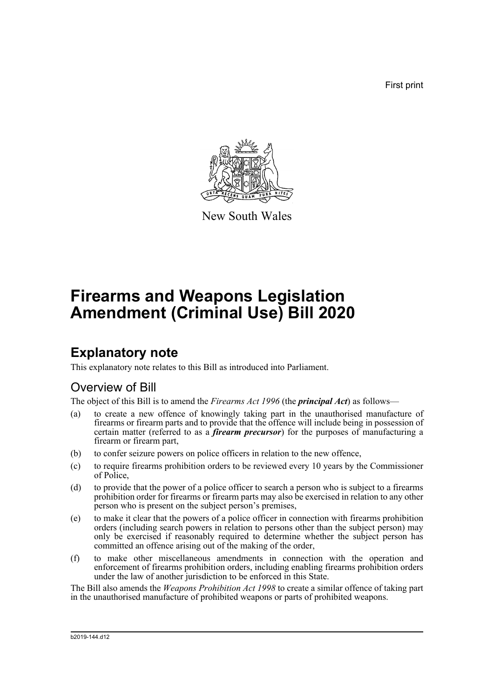First print



New South Wales

# **Firearms and Weapons Legislation Amendment (Criminal Use) Bill 2020**

## **Explanatory note**

This explanatory note relates to this Bill as introduced into Parliament.

## Overview of Bill

The object of this Bill is to amend the *Firearms Act 1996* (the *principal Act*) as follows—

- (a) to create a new offence of knowingly taking part in the unauthorised manufacture of firearms or firearm parts and to provide that the offence will include being in possession of certain matter (referred to as a *firearm precursor*) for the purposes of manufacturing a firearm or firearm part,
- (b) to confer seizure powers on police officers in relation to the new offence,
- (c) to require firearms prohibition orders to be reviewed every 10 years by the Commissioner of Police,
- (d) to provide that the power of a police officer to search a person who is subject to a firearms prohibition order for firearms or firearm parts may also be exercised in relation to any other person who is present on the subject person's premises,
- (e) to make it clear that the powers of a police officer in connection with firearms prohibition orders (including search powers in relation to persons other than the subject person) may only be exercised if reasonably required to determine whether the subject person has committed an offence arising out of the making of the order,
- (f) to make other miscellaneous amendments in connection with the operation and enforcement of firearms prohibition orders, including enabling firearms prohibition orders under the law of another jurisdiction to be enforced in this State.

The Bill also amends the *Weapons Prohibition Act 1998* to create a similar offence of taking part in the unauthorised manufacture of prohibited weapons or parts of prohibited weapons.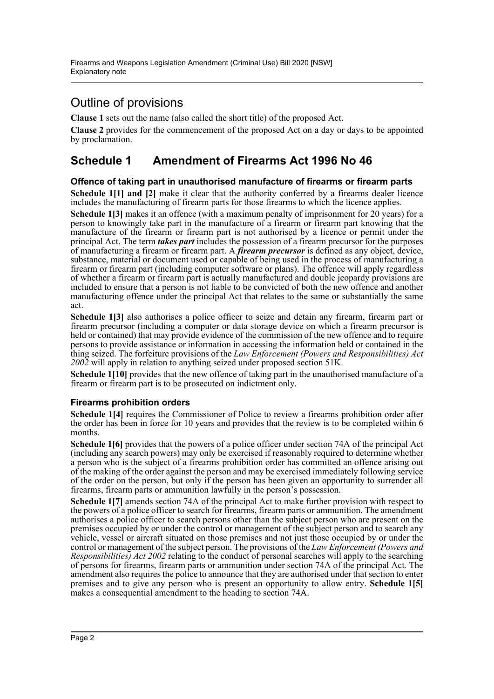## Outline of provisions

**Clause 1** sets out the name (also called the short title) of the proposed Act.

**Clause 2** provides for the commencement of the proposed Act on a day or days to be appointed by proclamation.

### **Schedule 1 Amendment of Firearms Act 1996 No 46**

#### **Offence of taking part in unauthorised manufacture of firearms or firearm parts**

**Schedule 1[1] and [2]** make it clear that the authority conferred by a firearms dealer licence includes the manufacturing of firearm parts for those firearms to which the licence applies.

**Schedule 1[3]** makes it an offence (with a maximum penalty of imprisonment for 20 years) for a person to knowingly take part in the manufacture of a firearm or firearm part knowing that the manufacture of the firearm or firearm part is not authorised by a licence or permit under the principal Act. The term *takes part* includes the possession of a firearm precursor for the purposes of manufacturing a firearm or firearm part. A *firearm precursor* is defined as any object, device, substance, material or document used or capable of being used in the process of manufacturing a firearm or firearm part (including computer software or plans). The offence will apply regardless of whether a firearm or firearm part is actually manufactured and double jeopardy provisions are included to ensure that a person is not liable to be convicted of both the new offence and another manufacturing offence under the principal Act that relates to the same or substantially the same act.

**Schedule 1[3]** also authorises a police officer to seize and detain any firearm, firearm part or firearm precursor (including a computer or data storage device on which a firearm precursor is held or contained) that may provide evidence of the commission of the new offence and to require persons to provide assistance or information in accessing the information held or contained in the thing seized. The forfeiture provisions of the *Law Enforcement (Powers and Responsibilities) Act 2002* will apply in relation to anything seized under proposed section 51K.

**Schedule 1[10]** provides that the new offence of taking part in the unauthorised manufacture of a firearm or firearm part is to be prosecuted on indictment only.

#### **Firearms prohibition orders**

**Schedule 1[4]** requires the Commissioner of Police to review a firearms prohibition order after the order has been in force for 10 years and provides that the review is to be completed within 6 months.

**Schedule 1[6]** provides that the powers of a police officer under section 74A of the principal Act (including any search powers) may only be exercised if reasonably required to determine whether a person who is the subject of a firearms prohibition order has committed an offence arising out of the making of the order against the person and may be exercised immediately following service of the order on the person, but only if the person has been given an opportunity to surrender all firearms, firearm parts or ammunition lawfully in the person's possession.

**Schedule 1[7]** amends section 74A of the principal Act to make further provision with respect to the powers of a police officer to search for firearms, firearm parts or ammunition. The amendment authorises a police officer to search persons other than the subject person who are present on the premises occupied by or under the control or management of the subject person and to search any vehicle, vessel or aircraft situated on those premises and not just those occupied by or under the control or management of the subject person. The provisions of the *Law Enforcement (Powers and Responsibilities) Act 2002* relating to the conduct of personal searches will apply to the searching of persons for firearms, firearm parts or ammunition under section 74A of the principal Act. The amendment also requires the police to announce that they are authorised under that section to enter premises and to give any person who is present an opportunity to allow entry. **Schedule 1[5]** makes a consequential amendment to the heading to section 74A.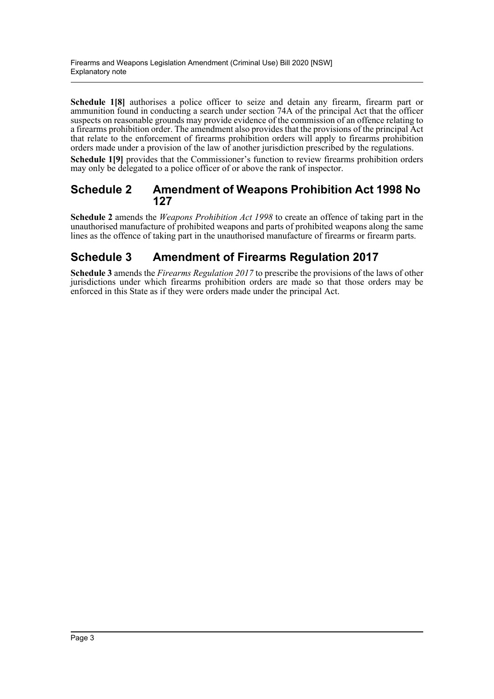**Schedule 1[8]** authorises a police officer to seize and detain any firearm, firearm part or ammunition found in conducting a search under section 74A of the principal Act that the officer suspects on reasonable grounds may provide evidence of the commission of an offence relating to a firearms prohibition order. The amendment also provides that the provisions of the principal Act that relate to the enforcement of firearms prohibition orders will apply to firearms prohibition orders made under a provision of the law of another jurisdiction prescribed by the regulations.

**Schedule 1[9]** provides that the Commissioner's function to review firearms prohibition orders may only be delegated to a police officer of or above the rank of inspector.

### **Schedule 2 Amendment of Weapons Prohibition Act 1998 No 127**

**Schedule 2** amends the *Weapons Prohibition Act 1998* to create an offence of taking part in the unauthorised manufacture of prohibited weapons and parts of prohibited weapons along the same lines as the offence of taking part in the unauthorised manufacture of firearms or firearm parts.

## **Schedule 3 Amendment of Firearms Regulation 2017**

**Schedule 3** amends the *Firearms Regulation 2017* to prescribe the provisions of the laws of other jurisdictions under which firearms prohibition orders are made so that those orders may be enforced in this State as if they were orders made under the principal Act.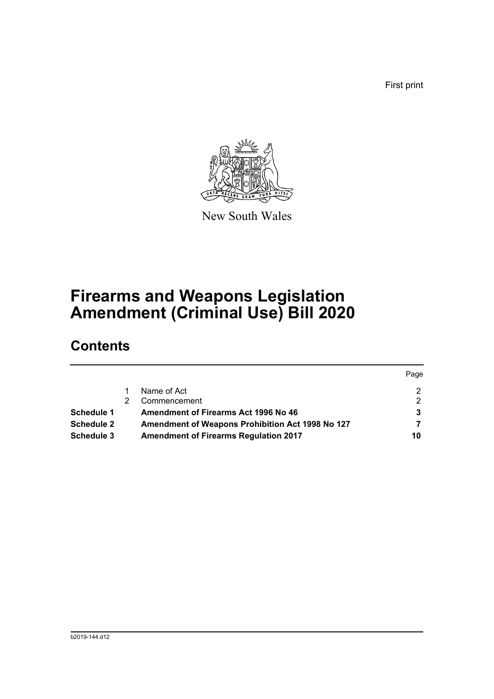First print



New South Wales

# **Firearms and Weapons Legislation Amendment (Criminal Use) Bill 2020**

## **Contents**

|            |                                                  | Page |
|------------|--------------------------------------------------|------|
|            | Name of Act                                      |      |
|            | Commencement                                     | 2    |
| Schedule 1 | Amendment of Firearms Act 1996 No 46             |      |
| Schedule 2 | Amendment of Weapons Prohibition Act 1998 No 127 |      |
| Schedule 3 | <b>Amendment of Firearms Regulation 2017</b>     | 10   |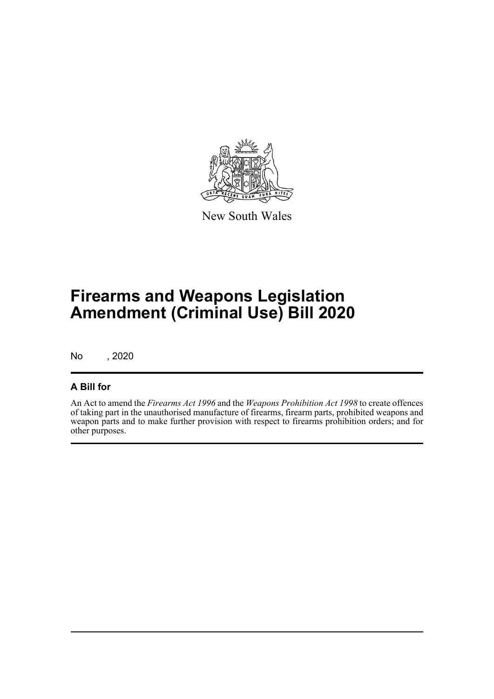

New South Wales

# **Firearms and Weapons Legislation Amendment (Criminal Use) Bill 2020**

No , 2020

### **A Bill for**

An Act to amend the *Firearms Act 1996* and the *Weapons Prohibition Act 1998* to create offences of taking part in the unauthorised manufacture of firearms, firearm parts, prohibited weapons and weapon parts and to make further provision with respect to firearms prohibition orders; and for other purposes.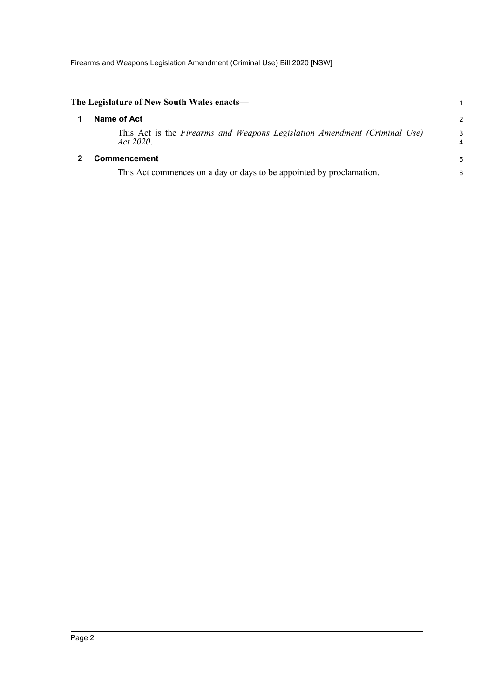<span id="page-5-1"></span><span id="page-5-0"></span>

| The Legislature of New South Wales enacts—                                             |        |
|----------------------------------------------------------------------------------------|--------|
| Name of Act                                                                            | 2      |
| This Act is the Firearms and Weapons Legislation Amendment (Criminal Use)<br>Act 2020. | 3<br>4 |
| <b>Commencement</b>                                                                    | 5      |
| This Act commences on a day or days to be appointed by proclamation.                   | 6      |
|                                                                                        |        |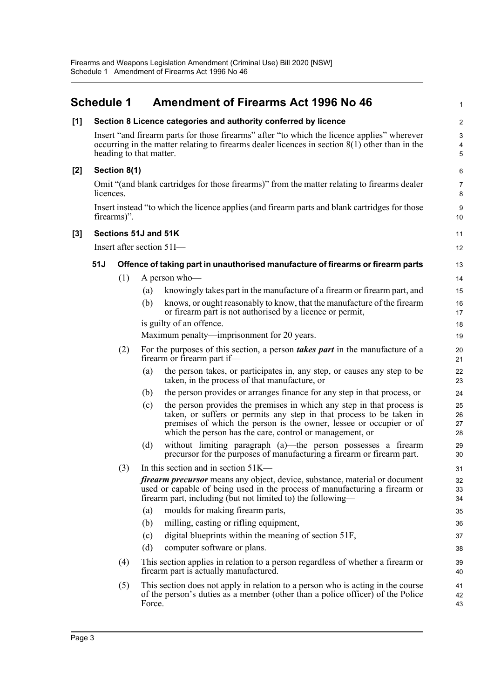<span id="page-6-0"></span>

|       | <b>Schedule 1</b> |     |                                        | <b>Amendment of Firearms Act 1996 No 46</b>                                                                                                                                                                                                                                      | 1                    |
|-------|-------------------|-----|----------------------------------------|----------------------------------------------------------------------------------------------------------------------------------------------------------------------------------------------------------------------------------------------------------------------------------|----------------------|
| [1]   |                   |     |                                        | Section 8 Licence categories and authority conferred by licence                                                                                                                                                                                                                  | $\overline{c}$       |
|       |                   |     | heading to that matter.                | Insert "and firearm parts for those firearms" after "to which the licence applies" wherever<br>occurring in the matter relating to firearms dealer licences in section $8(1)$ other than in the                                                                                  | 3<br>4<br>5          |
| [2]   | Section 8(1)      |     |                                        |                                                                                                                                                                                                                                                                                  | 6                    |
|       | licences.         |     |                                        | Omit "(and blank cartridges for those firearms)" from the matter relating to firearms dealer                                                                                                                                                                                     | 7<br>8               |
|       | firearms)".       |     |                                        | Insert instead "to which the licence applies (and firearm parts and blank cartridges for those                                                                                                                                                                                   | 9<br>10              |
| $[3]$ |                   |     | Sections 51J and 51K                   |                                                                                                                                                                                                                                                                                  | 11                   |
|       |                   |     | Insert after section 51I-              |                                                                                                                                                                                                                                                                                  | 12                   |
|       | 51J               |     |                                        | Offence of taking part in unauthorised manufacture of firearms or firearm parts                                                                                                                                                                                                  | 13                   |
|       |                   | (1) | A person who-                          |                                                                                                                                                                                                                                                                                  | 14                   |
|       |                   |     | (a)                                    | knowingly takes part in the manufacture of a firearm or firearm part, and                                                                                                                                                                                                        | 15                   |
|       |                   |     | (b)                                    | knows, or ought reasonably to know, that the manufacture of the firearm<br>or firearm part is not authorised by a licence or permit,                                                                                                                                             | 16<br>17             |
|       |                   |     | is guilty of an offence.               |                                                                                                                                                                                                                                                                                  | 18                   |
|       |                   |     |                                        | Maximum penalty—imprisonment for 20 years.                                                                                                                                                                                                                                       | 19                   |
|       |                   | (2) | firearm or firearm part if-            | For the purposes of this section, a person <i>takes part</i> in the manufacture of a                                                                                                                                                                                             | 20<br>21             |
|       |                   |     | (a)                                    | the person takes, or participates in, any step, or causes any step to be<br>taken, in the process of that manufacture, or                                                                                                                                                        | 22<br>23             |
|       |                   |     | (b)                                    | the person provides or arranges finance for any step in that process, or                                                                                                                                                                                                         | 24                   |
|       |                   |     | (c)                                    | the person provides the premises in which any step in that process is<br>taken, or suffers or permits any step in that process to be taken in<br>premises of which the person is the owner, lessee or occupier or of<br>which the person has the care, control or management, or | 25<br>26<br>27<br>28 |
|       |                   |     | (d)                                    | without limiting paragraph (a)—the person possesses a firearm<br>precursor for the purposes of manufacturing a firearm or firearm part.                                                                                                                                          | 29<br>30             |
|       |                   | (3) | In this section and in section 51K-    |                                                                                                                                                                                                                                                                                  | 31                   |
|       |                   |     |                                        | firearm precursor means any object, device, substance, material or document<br>used or capable of being used in the process of manufacturing a firearm or<br>firearm part, including (but not limited to) the following—                                                         | 32<br>33<br>34       |
|       |                   |     | (a)                                    | moulds for making firearm parts,                                                                                                                                                                                                                                                 | 35                   |
|       |                   |     | (b)                                    | milling, casting or rifling equipment,                                                                                                                                                                                                                                           | 36                   |
|       |                   |     | (c)                                    | digital blueprints within the meaning of section 51F,                                                                                                                                                                                                                            | 37                   |
|       |                   |     | (d)<br>computer software or plans.     |                                                                                                                                                                                                                                                                                  | 38                   |
|       |                   | (4) | firearm part is actually manufactured. | This section applies in relation to a person regardless of whether a firearm or                                                                                                                                                                                                  | 39<br>40             |
|       |                   | (5) | Force.                                 | This section does not apply in relation to a person who is acting in the course<br>of the person's duties as a member (other than a police officer) of the Police                                                                                                                | 41<br>42<br>43       |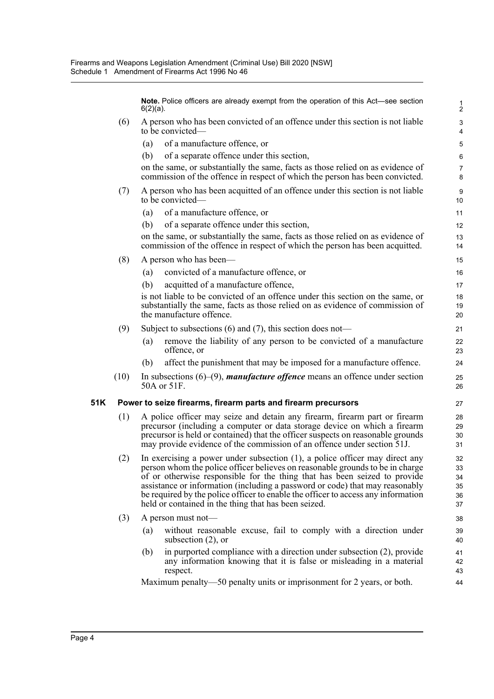**Note.** Police officers are already exempt from the operation of this Act—see section 6(2)(a).

- (6) A person who has been convicted of an offence under this section is not liable to be convicted—
	- (a) of a manufacture offence, or
	- (b) of a separate offence under this section,

on the same, or substantially the same, facts as those relied on as evidence of commission of the offence in respect of which the person has been convicted.

- (7) A person who has been acquitted of an offence under this section is not liable to be convicted—
	- (a) of a manufacture offence, or
	- (b) of a separate offence under this section,

on the same, or substantially the same, facts as those relied on as evidence of commission of the offence in respect of which the person has been acquitted.

- (8) A person who has been—
	- (a) convicted of a manufacture offence, or
	- (b) acquitted of a manufacture offence,

is not liable to be convicted of an offence under this section on the same, or substantially the same, facts as those relied on as evidence of commission of the manufacture offence.

- (9) Subject to subsections  $(6)$  and  $(7)$ , this section does not—
	- (a) remove the liability of any person to be convicted of a manufacture offence, or
	- (b) affect the punishment that may be imposed for a manufacture offence.
- (10) In subsections (6)–(9), *manufacture offence* means an offence under section 50A or 51F.

#### **51K Power to seize firearms, firearm parts and firearm precursors**

- (1) A police officer may seize and detain any firearm, firearm part or firearm precursor (including a computer or data storage device on which a firearm precursor is held or contained) that the officer suspects on reasonable grounds may provide evidence of the commission of an offence under section 51J.
- (2) In exercising a power under subsection (1), a police officer may direct any person whom the police officer believes on reasonable grounds to be in charge of or otherwise responsible for the thing that has been seized to provide assistance or information (including a password or code) that may reasonably be required by the police officer to enable the officer to access any information held or contained in the thing that has been seized.
- (3) A person must not—
	- (a) without reasonable excuse, fail to comply with a direction under subsection (2), or
	- (b) in purported compliance with a direction under subsection (2), provide any information knowing that it is false or misleading in a material respect.

Maximum penalty—50 penalty units or imprisonment for 2 years, or both.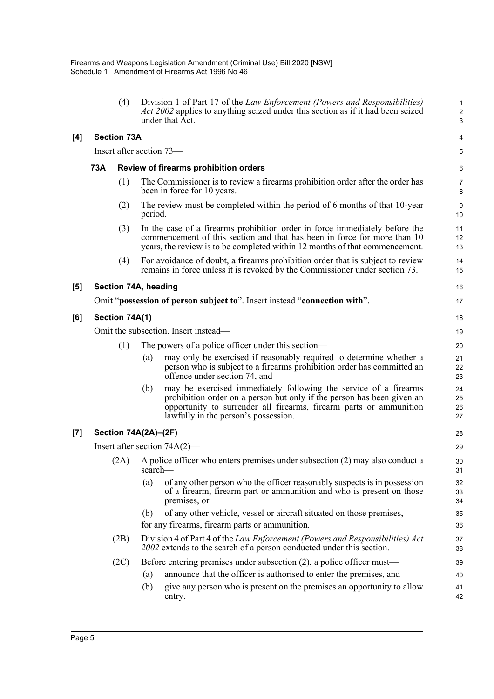|                     |                                      | (4)                      |         | Division 1 of Part 17 of the Law Enforcement (Powers and Responsibilities)<br><i>Act 2002</i> applies to anything seized under this section as if it had been seized<br>under that Act.                                                                  | 1<br>$\overline{\mathbf{c}}$<br>3 |  |  |  |  |
|---------------------|--------------------------------------|--------------------------|---------|----------------------------------------------------------------------------------------------------------------------------------------------------------------------------------------------------------------------------------------------------------|-----------------------------------|--|--|--|--|
| [4]                 | <b>Section 73A</b>                   |                          |         |                                                                                                                                                                                                                                                          |                                   |  |  |  |  |
|                     |                                      | Insert after section 73— |         |                                                                                                                                                                                                                                                          | 5                                 |  |  |  |  |
|                     | <b>73A</b>                           |                          |         | Review of firearms prohibition orders                                                                                                                                                                                                                    | 6                                 |  |  |  |  |
|                     |                                      | (1)                      |         | The Commissioner is to review a firearms prohibition order after the order has<br>been in force for 10 years.                                                                                                                                            | 7<br>8                            |  |  |  |  |
|                     |                                      | (2)                      | period. | The review must be completed within the period of 6 months of that 10-year                                                                                                                                                                               | 9<br>10                           |  |  |  |  |
|                     |                                      | (3)                      |         | In the case of a firearms prohibition order in force immediately before the<br>commencement of this section and that has been in force for more than 10<br>years, the review is to be completed within 12 months of that commencement.                   | 11<br>12<br>13                    |  |  |  |  |
|                     |                                      | (4)                      |         | For avoidance of doubt, a firearms prohibition order that is subject to review<br>remains in force unless it is revoked by the Commissioner under section 73.                                                                                            | 14<br>15                          |  |  |  |  |
| [5]                 |                                      | Section 74A, heading     |         |                                                                                                                                                                                                                                                          | 16                                |  |  |  |  |
|                     |                                      |                          |         | Omit "possession of person subject to". Insert instead "connection with".                                                                                                                                                                                | 17                                |  |  |  |  |
| [6]                 | Section 74A(1)                       |                          |         |                                                                                                                                                                                                                                                          |                                   |  |  |  |  |
|                     | Omit the subsection. Insert instead- |                          |         |                                                                                                                                                                                                                                                          |                                   |  |  |  |  |
|                     |                                      | (1)                      |         | The powers of a police officer under this section—                                                                                                                                                                                                       | 20                                |  |  |  |  |
|                     |                                      |                          | (a)     | may only be exercised if reasonably required to determine whether a<br>person who is subject to a firearms prohibition order has committed an<br>offence under section 74, and                                                                           | 21<br>22<br>23                    |  |  |  |  |
|                     |                                      |                          | (b)     | may be exercised immediately following the service of a firearms<br>prohibition order on a person but only if the person has been given an<br>opportunity to surrender all firearms, firearm parts or ammunition<br>lawfully in the person's possession. | 24<br>25<br>26<br>27              |  |  |  |  |
| $\lbrack 7 \rbrack$ | Section 74A(2A)-(2F)                 |                          |         |                                                                                                                                                                                                                                                          |                                   |  |  |  |  |
|                     | Insert after section $74A(2)$ —      |                          |         |                                                                                                                                                                                                                                                          |                                   |  |  |  |  |
|                     |                                      | (2A)                     | search- | A police officer who enters premises under subsection (2) may also conduct a                                                                                                                                                                             | 30<br>31                          |  |  |  |  |
|                     |                                      |                          | (a)     | of any other person who the officer reasonably suspects is in possession<br>of a firearm, firearm part or ammunition and who is present on those<br>premises, or                                                                                         | 32<br>33<br>34                    |  |  |  |  |
|                     |                                      |                          | (b)     | of any other vehicle, vessel or aircraft situated on those premises,<br>for any firearms, firearm parts or ammunition.                                                                                                                                   | 35<br>36                          |  |  |  |  |
|                     |                                      | (2B)                     |         | Division 4 of Part 4 of the Law Enforcement (Powers and Responsibilities) Act<br>2002 extends to the search of a person conducted under this section.                                                                                                    | 37<br>38                          |  |  |  |  |
|                     |                                      | (2C)                     |         | Before entering premises under subsection $(2)$ , a police officer must—                                                                                                                                                                                 | 39                                |  |  |  |  |
|                     |                                      |                          | (a)     | announce that the officer is authorised to enter the premises, and                                                                                                                                                                                       | 40                                |  |  |  |  |
|                     |                                      |                          | (b)     | give any person who is present on the premises an opportunity to allow<br>entry.                                                                                                                                                                         | 41<br>42                          |  |  |  |  |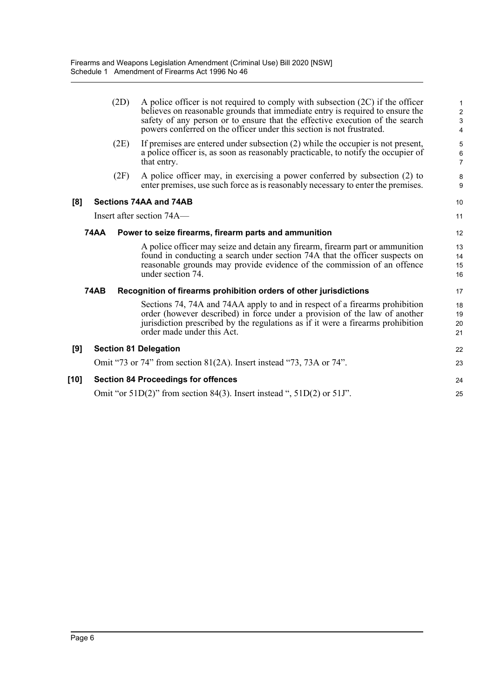|        |             | (2D) | A police officer is not required to comply with subsection $(2C)$ if the officer<br>believes on reasonable grounds that immediate entry is required to ensure the<br>safety of any person or to ensure that the effective execution of the search<br>powers conferred on the officer under this section is not frustrated. | 1<br>$\overline{\mathbf{c}}$<br>3<br>4 |
|--------|-------------|------|----------------------------------------------------------------------------------------------------------------------------------------------------------------------------------------------------------------------------------------------------------------------------------------------------------------------------|----------------------------------------|
|        |             | (2E) | If premises are entered under subsection $(2)$ while the occupier is not present,<br>a police officer is, as soon as reasonably practicable, to notify the occupier of<br>that entry.                                                                                                                                      | 5<br>6<br>$\overline{7}$               |
|        |             | (2F) | A police officer may, in exercising a power conferred by subsection (2) to<br>enter premises, use such force as is reasonably necessary to enter the premises.                                                                                                                                                             | 8<br>9                                 |
| [8]    |             |      | Sections 74AA and 74AB                                                                                                                                                                                                                                                                                                     | 10                                     |
|        |             |      | Insert after section 74A—                                                                                                                                                                                                                                                                                                  | 11                                     |
|        | 74AA        |      | Power to seize firearms, firearm parts and ammunition                                                                                                                                                                                                                                                                      | 12                                     |
|        |             |      | A police officer may seize and detain any firearm, firearm part or ammunition<br>found in conducting a search under section 74A that the officer suspects on<br>reasonable grounds may provide evidence of the commission of an offence<br>under section 74.                                                               | 13<br>14<br>15<br>16                   |
|        | <b>74AB</b> |      | Recognition of firearms prohibition orders of other jurisdictions                                                                                                                                                                                                                                                          | 17                                     |
|        |             |      | Sections 74, 74A and 74AA apply to and in respect of a firearms prohibition<br>order (however described) in force under a provision of the law of another<br>jurisdiction prescribed by the regulations as if it were a firearms prohibition<br>order made under this Act.                                                 | 18<br>19<br>20<br>21                   |
| [9]    |             |      | <b>Section 81 Delegation</b>                                                                                                                                                                                                                                                                                               | 22                                     |
|        |             |      | Omit "73 or 74" from section $81(2A)$ . Insert instead "73, 73A or 74".                                                                                                                                                                                                                                                    | 23                                     |
| $[10]$ |             |      | <b>Section 84 Proceedings for offences</b>                                                                                                                                                                                                                                                                                 | 24                                     |
|        |             |      | Omit "or $51D(2)$ " from section 84(3). Insert instead ", $51D(2)$ or $51J$ ".                                                                                                                                                                                                                                             | 25                                     |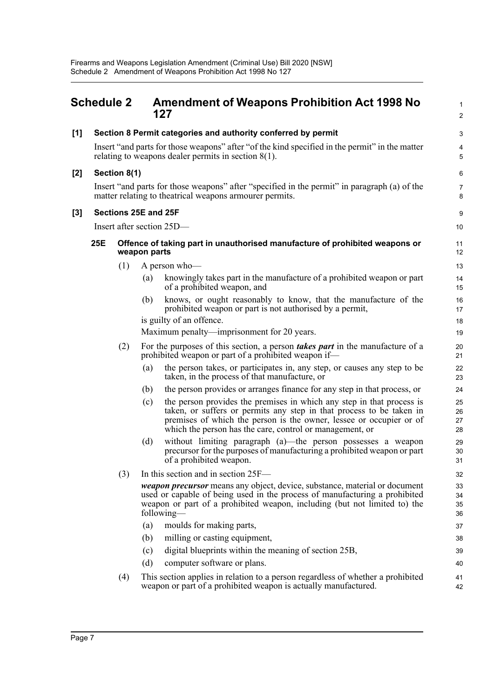<span id="page-10-0"></span>

| <b>Schedule 2</b> |     |                      | <b>Amendment of Weapons Prohibition Act 1998 No</b><br>127 |                                                                                                                                                                                                                                                                                  |                           |
|-------------------|-----|----------------------|------------------------------------------------------------|----------------------------------------------------------------------------------------------------------------------------------------------------------------------------------------------------------------------------------------------------------------------------------|---------------------------|
| [1]               |     |                      |                                                            | Section 8 Permit categories and authority conferred by permit                                                                                                                                                                                                                    | $\ensuremath{\mathsf{3}}$ |
|                   |     |                      |                                                            | Insert "and parts for those weapons" after "of the kind specified in the permit" in the matter<br>relating to we<br>apons dealer permits in section $8(1)$ .                                                                                                                     | 4<br>5                    |
| $[2]$             |     | Section 8(1)         |                                                            |                                                                                                                                                                                                                                                                                  | 6                         |
|                   |     |                      |                                                            | Insert "and parts for those weapons" after "specified in the permit" in paragraph (a) of the<br>matter relating to theatrical weapons armourer permits.                                                                                                                          | $\overline{7}$<br>8       |
| $[3]$             |     | Sections 25E and 25F |                                                            |                                                                                                                                                                                                                                                                                  | 9                         |
|                   |     |                      |                                                            | Insert after section 25D-                                                                                                                                                                                                                                                        | 10                        |
|                   | 25E |                      | weapon parts                                               | Offence of taking part in unauthorised manufacture of prohibited weapons or                                                                                                                                                                                                      | 11<br>12                  |
|                   |     | (1)                  |                                                            | A person who-                                                                                                                                                                                                                                                                    | 13                        |
|                   |     |                      | (a)                                                        | knowingly takes part in the manufacture of a prohibited weapon or part<br>of a prohibited weapon, and                                                                                                                                                                            | 14<br>15                  |
|                   |     |                      | (b)                                                        | knows, or ought reasonably to know, that the manufacture of the<br>prohibited weapon or part is not authorised by a permit,                                                                                                                                                      | 16<br>17                  |
|                   |     |                      |                                                            | is guilty of an offence.                                                                                                                                                                                                                                                         | 18                        |
|                   |     |                      |                                                            | Maximum penalty—imprisonment for 20 years.                                                                                                                                                                                                                                       | 19                        |
|                   |     | (2)                  |                                                            | For the purposes of this section, a person <i>takes part</i> in the manufacture of a<br>prohibited weapon or part of a prohibited weapon if-                                                                                                                                     | 20<br>21                  |
|                   |     |                      | (a)                                                        | the person takes, or participates in, any step, or causes any step to be<br>taken, in the process of that manufacture, or                                                                                                                                                        | 22<br>23                  |
|                   |     |                      | (b)                                                        | the person provides or arranges finance for any step in that process, or                                                                                                                                                                                                         | 24                        |
|                   |     |                      | (c)                                                        | the person provides the premises in which any step in that process is<br>taken, or suffers or permits any step in that process to be taken in<br>premises of which the person is the owner, lessee or occupier or of<br>which the person has the care, control or management, or | 25<br>26<br>27<br>28      |
|                   |     |                      | (d)                                                        | without limiting paragraph (a)—the person possesses a weapon<br>precursor for the purposes of manufacturing a prohibited weapon or part<br>of a prohibited weapon.                                                                                                               | 29<br>30<br>31            |
|                   |     | (3)                  |                                                            | In this section and in section 25F—                                                                                                                                                                                                                                              | 32                        |
|                   |     |                      |                                                            | <i>weapon precursor</i> means any object, device, substance, material or document<br>used or capable of being used in the process of manufacturing a prohibited<br>weapon or part of a prohibited weapon, including (but not limited to) the<br>following—                       | 33<br>34<br>35<br>36      |
|                   |     |                      | (a)                                                        | moulds for making parts,                                                                                                                                                                                                                                                         | 37                        |
|                   |     |                      | (b)                                                        | milling or casting equipment,                                                                                                                                                                                                                                                    | 38                        |
|                   |     |                      | (c)                                                        | digital blueprints within the meaning of section 25B,                                                                                                                                                                                                                            | 39                        |
|                   |     |                      | (d)                                                        | computer software or plans.                                                                                                                                                                                                                                                      | 40                        |
|                   |     | (4)                  |                                                            | This section applies in relation to a person regardless of whether a prohibited<br>weapon or part of a prohibited weapon is actually manufactured.                                                                                                                               | 41<br>42                  |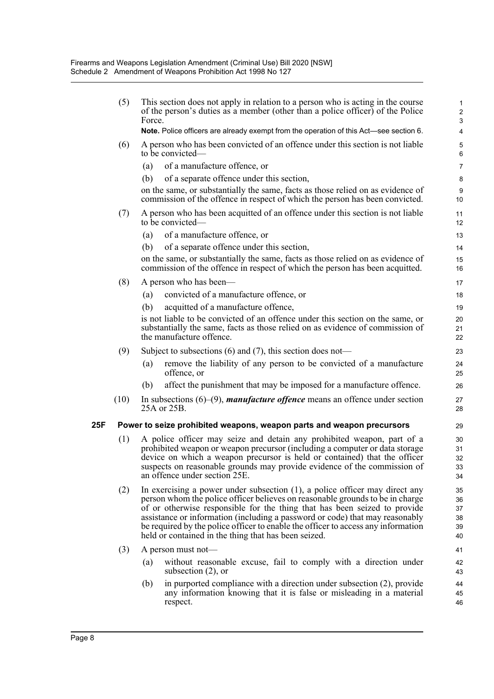|     | (5)  | This section does not apply in relation to a person who is acting in the course<br>of the person's duties as a member (other than a police officer) of the Police<br>Force.                                                                                                                                                                                                                                                                                               | 1<br>$\boldsymbol{2}$<br>3 |  |
|-----|------|---------------------------------------------------------------------------------------------------------------------------------------------------------------------------------------------------------------------------------------------------------------------------------------------------------------------------------------------------------------------------------------------------------------------------------------------------------------------------|----------------------------|--|
|     |      | Note. Police officers are already exempt from the operation of this Act—see section 6.                                                                                                                                                                                                                                                                                                                                                                                    | 4                          |  |
|     | (6)  | A person who has been convicted of an offence under this section is not liable<br>to be convicted—                                                                                                                                                                                                                                                                                                                                                                        | $\mathbf 5$<br>6           |  |
|     |      | of a manufacture offence, or<br>(a)                                                                                                                                                                                                                                                                                                                                                                                                                                       | 7                          |  |
|     |      | of a separate offence under this section,<br>(b)                                                                                                                                                                                                                                                                                                                                                                                                                          | 8                          |  |
|     |      | on the same, or substantially the same, facts as those relied on as evidence of<br>commission of the offence in respect of which the person has been convicted.                                                                                                                                                                                                                                                                                                           | 9<br>10                    |  |
|     | (7)  | A person who has been acquitted of an offence under this section is not liable<br>to be convicted—                                                                                                                                                                                                                                                                                                                                                                        | 11<br>12                   |  |
|     |      | of a manufacture offence, or<br>(a)                                                                                                                                                                                                                                                                                                                                                                                                                                       | 13                         |  |
|     |      | of a separate offence under this section,<br>(b)                                                                                                                                                                                                                                                                                                                                                                                                                          | 14                         |  |
|     |      | on the same, or substantially the same, facts as those relied on as evidence of<br>commission of the offence in respect of which the person has been acquitted.                                                                                                                                                                                                                                                                                                           | 15<br>16                   |  |
|     | (8)  | A person who has been—                                                                                                                                                                                                                                                                                                                                                                                                                                                    | 17                         |  |
|     |      | convicted of a manufacture offence, or<br>(a)                                                                                                                                                                                                                                                                                                                                                                                                                             | 18                         |  |
|     |      | acquitted of a manufacture offence,<br>(b)                                                                                                                                                                                                                                                                                                                                                                                                                                | 19                         |  |
|     |      | is not liable to be convicted of an offence under this section on the same, or<br>substantially the same, facts as those relied on as evidence of commission of<br>the manufacture offence.                                                                                                                                                                                                                                                                               | 20<br>21<br>22             |  |
|     | (9)  | Subject to subsections $(6)$ and $(7)$ , this section does not—                                                                                                                                                                                                                                                                                                                                                                                                           | 23                         |  |
|     |      | remove the liability of any person to be convicted of a manufacture<br>(a)<br>offence, or                                                                                                                                                                                                                                                                                                                                                                                 | 24<br>25                   |  |
|     |      | affect the punishment that may be imposed for a manufacture offence.<br>(b)                                                                                                                                                                                                                                                                                                                                                                                               | 26                         |  |
|     | (10) | In subsections $(6)$ – $(9)$ , manufacture offence means an offence under section<br>25A or 25B.                                                                                                                                                                                                                                                                                                                                                                          | 27<br>28                   |  |
| 25F |      | Power to seize prohibited weapons, weapon parts and weapon precursors                                                                                                                                                                                                                                                                                                                                                                                                     | 29                         |  |
|     | (1)  | A police officer may seize and detain any prohibited weapon, part of a<br>prohibited weapon or weapon precursor (including a computer or data storage<br>device on which a weapon precursor is held or contained) that the officer<br>suspects on reasonable grounds may provide evidence of the commission of<br>an offence under section 25E.                                                                                                                           | 30<br>31<br>32<br>33<br>34 |  |
|     | (2)  | In exercising a power under subsection $(1)$ , a police officer may direct any<br>person whom the police officer believes on reasonable grounds to be in charge<br>of or otherwise responsible for the thing that has been seized to provide<br>assistance or information (including a password or code) that may reasonably<br>be required by the police officer to enable the officer to access any information<br>held or contained in the thing that has been seized. |                            |  |
|     | (3)  | A person must not-                                                                                                                                                                                                                                                                                                                                                                                                                                                        | 41                         |  |
|     |      | without reasonable excuse, fail to comply with a direction under<br>(a)<br>subsection $(2)$ , or                                                                                                                                                                                                                                                                                                                                                                          | 42<br>43                   |  |
|     |      | in purported compliance with a direction under subsection (2), provide<br>(b)<br>any information knowing that it is false or misleading in a material<br>respect.                                                                                                                                                                                                                                                                                                         | 44<br>45<br>46             |  |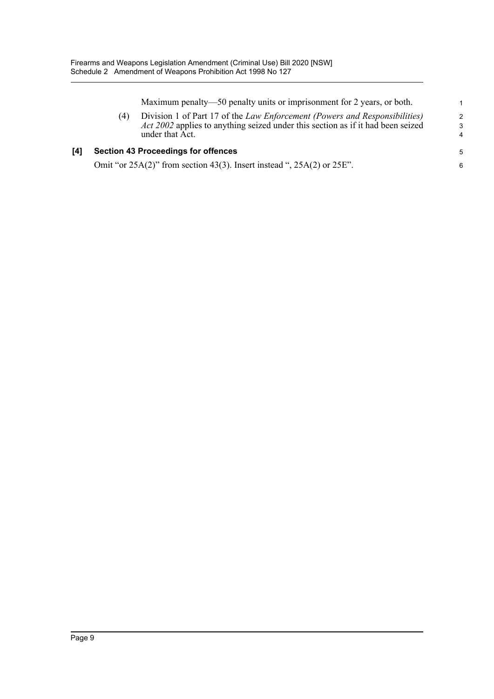Maximum penalty—50 penalty units or imprisonment for 2 years, or both.

| (4) | Division 1 of Part 17 of the Law Enforcement (Powers and Responsibilities)<br>Act 2002 applies to anything seized under this section as if it had been seized<br>under that Act. |  |
|-----|----------------------------------------------------------------------------------------------------------------------------------------------------------------------------------|--|
|-----|----------------------------------------------------------------------------------------------------------------------------------------------------------------------------------|--|

#### **[4] Section 43 Proceedings for offences**

Omit "or 25A(2)" from section 43(3). Insert instead ", 25A(2) or 25E".

6

1 2